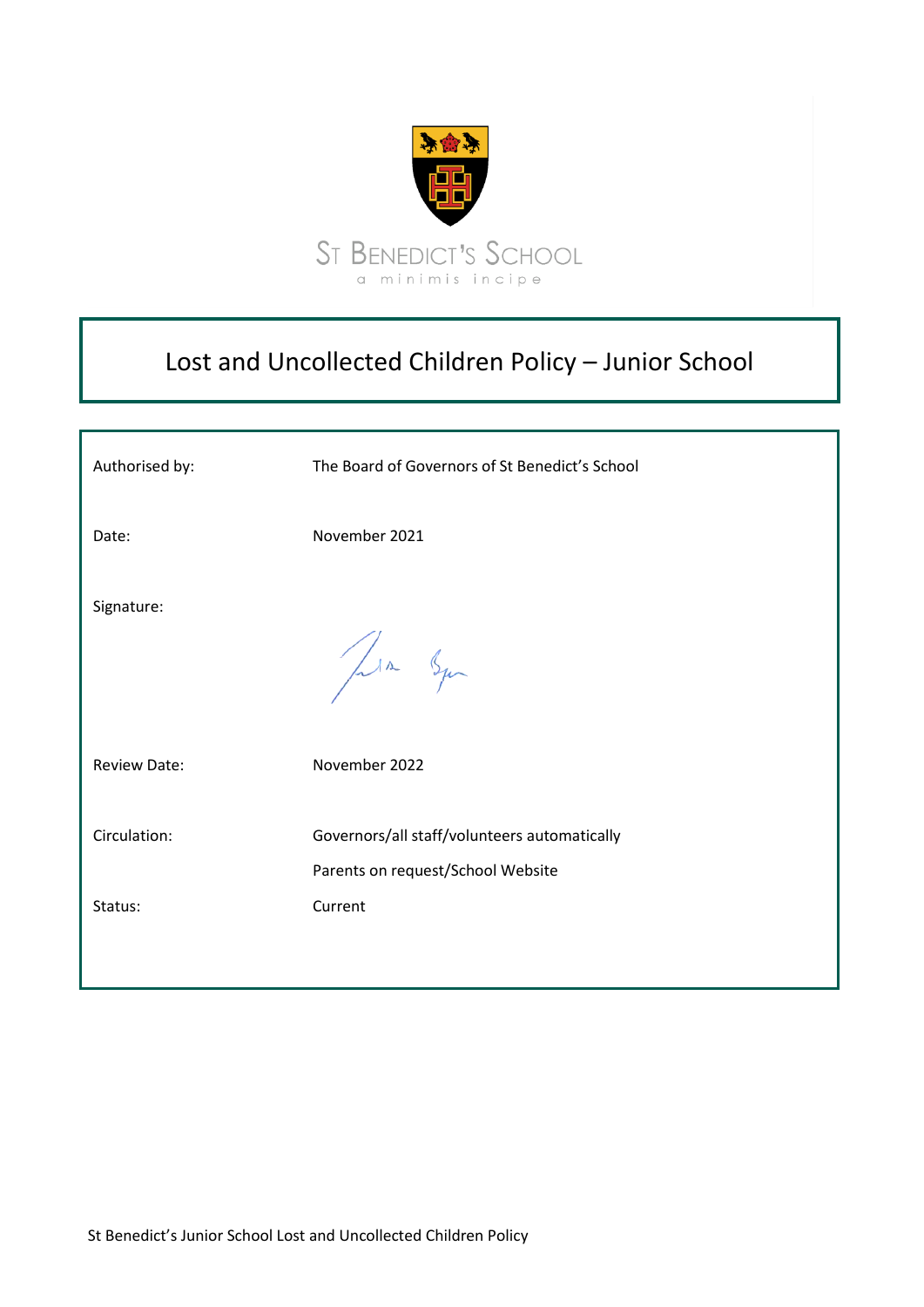

# Lost and Uncollected Children Policy – Junior School

| Authorised by:          | The Board of Governors of St Benedict's School                                               |
|-------------------------|----------------------------------------------------------------------------------------------|
| Date:                   | November 2021                                                                                |
| Signature:              | Jula Squ                                                                                     |
| <b>Review Date:</b>     | November 2022                                                                                |
| Circulation:<br>Status: | Governors/all staff/volunteers automatically<br>Parents on request/School Website<br>Current |
|                         |                                                                                              |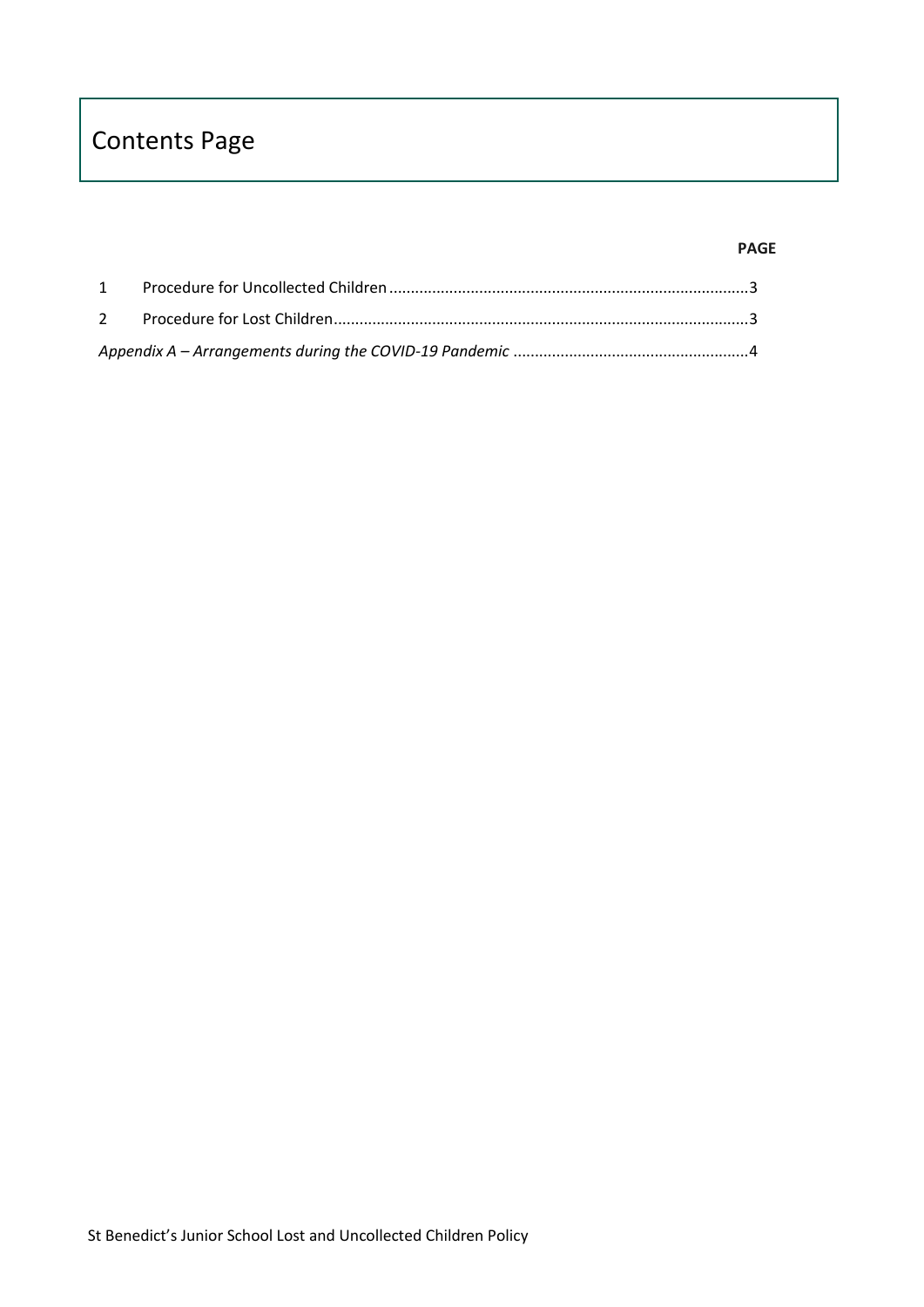# Contents Page

#### **PAGE**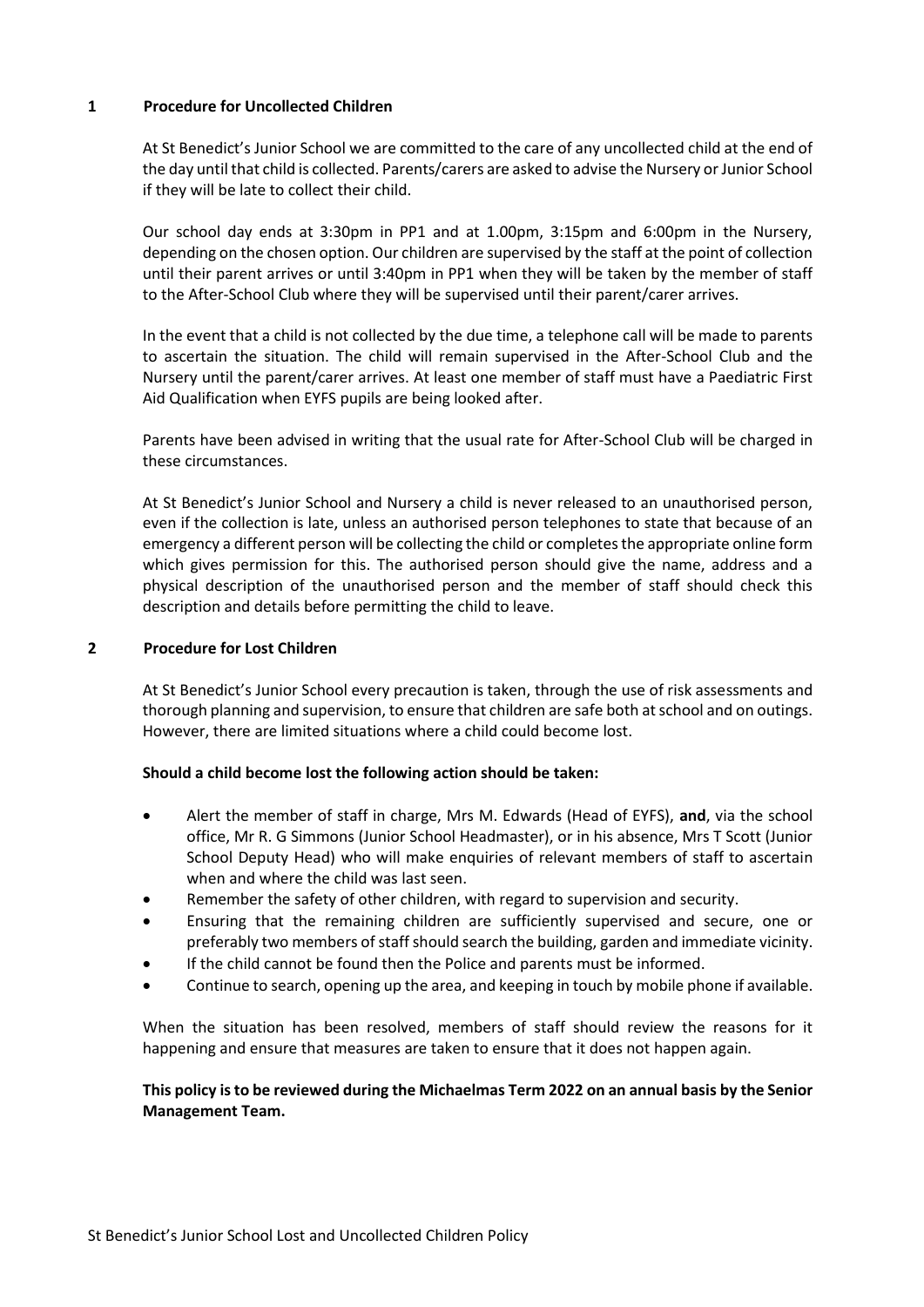#### <span id="page-2-0"></span>**1 Procedure for Uncollected Children**

At St Benedict's Junior School we are committed to the care of any uncollected child at the end of the day until that child is collected. Parents/carers are asked to advise the Nursery or Junior School if they will be late to collect their child.

Our school day ends at 3:30pm in PP1 and at 1.00pm, 3:15pm and 6:00pm in the Nursery, depending on the chosen option. Our children are supervised by the staff at the point of collection until their parent arrives or until 3:40pm in PP1 when they will be taken by the member of staff to the After-School Club where they will be supervised until their parent/carer arrives.

In the event that a child is not collected by the due time, a telephone call will be made to parents to ascertain the situation. The child will remain supervised in the After-School Club and the Nursery until the parent/carer arrives. At least one member of staff must have a Paediatric First Aid Qualification when EYFS pupils are being looked after.

Parents have been advised in writing that the usual rate for After-School Club will be charged in these circumstances.

At St Benedict's Junior School and Nursery a child is never released to an unauthorised person, even if the collection is late, unless an authorised person telephones to state that because of an emergency a different person will be collecting the child or completes the appropriate online form which gives permission for this. The authorised person should give the name, address and a physical description of the unauthorised person and the member of staff should check this description and details before permitting the child to leave.

# <span id="page-2-1"></span>**2 Procedure for Lost Children**

At St Benedict's Junior School every precaution is taken, through the use of risk assessments and thorough planning and supervision, to ensure that children are safe both at school and on outings. However, there are limited situations where a child could become lost.

#### **Should a child become lost the following action should be taken:**

- Alert the member of staff in charge, Mrs M. Edwards (Head of EYFS), **and**, via the school office, Mr R. G Simmons (Junior School Headmaster), or in his absence, Mrs T Scott (Junior School Deputy Head) who will make enquiries of relevant members of staff to ascertain when and where the child was last seen.
- Remember the safety of other children, with regard to supervision and security.
- Ensuring that the remaining children are sufficiently supervised and secure, one or preferably two members of staff should search the building, garden and immediate vicinity.
- If the child cannot be found then the Police and parents must be informed.
- Continue to search, opening up the area, and keeping in touch by mobile phone if available.

When the situation has been resolved, members of staff should review the reasons for it happening and ensure that measures are taken to ensure that it does not happen again.

# **This policy is to be reviewed during the Michaelmas Term 2022 on an annual basis by the Senior Management Team.**